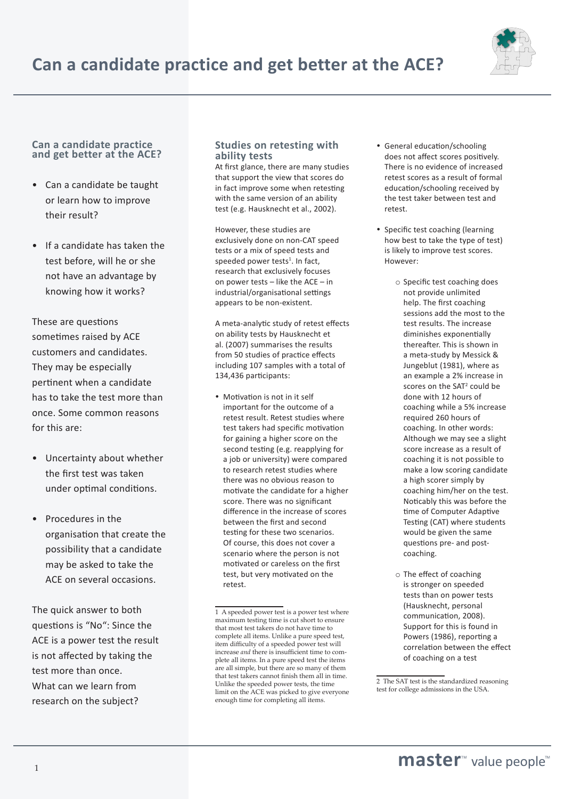

## **Can a candidate practice and get better at the ACE?**

- Can a candidate be taught or learn how to improve their result?
- If a candidate has taken the test before, will he or she not have an advantage by knowing how it works?

These are questions sometimes raised by ACE customers and candidates. They may be especially pertinent when a candidate has to take the test more than once. Some common reasons for this are:

- Uncertainty about whether the first test was taken under optimal conditions.
- Procedures in the organisation that create the possibility that a candidate may be asked to take the ACE on several occasions.

The quick answer to both questions is "No": Since the ACE is a power test the result is not affected by taking the test more than once. What can we learn from research on the subject?

## **Studies on retesting with ability tests**

At first glance, there are many studies that support the view that scores do in fact improve some when retesting with the same version of an ability test (e.g. Hausknecht et al., 2002).

However, these studies are exclusively done on non-CAT speed tests or a mix of speed tests and speeded power tests<sup>1</sup>. In fact, research that exclusively focuses on power tests – like the ACE – in industrial/organisational settings appears to be non-existent.

A meta-analytic study of retest effects on ability tests by Hausknecht et al. (2007) summarises the results from 50 studies of practice effects including 107 samples with a total of 134,436 participants:

 Motivation is not in it self important for the outcome of a retest result. Retest studies where test takers had specific motivation for gaining a higher score on the second testing (e.g. reapplying for a job or university) were compared to research retest studies where there was no obvious reason to motivate the candidate for a higher score. There was no significant difference in the increase of scores between the first and second testing for these two scenarios. Of course, this does not cover a scenario where the person is not motivated or careless on the first test, but very motivated on the retest.

- General education/schooling does not affect scores positively. There is no evidence of increased retest scores as a result of formal education/schooling received by the test taker between test and retest.
- Specific test coaching (learning how best to take the type of test) is likely to improve test scores. However:
	- o Specific test coaching does not provide unlimited help. The first coaching sessions add the most to the test results. The increase diminishes exponentially thereafter. This is shown in a meta-study by Messick & Jungeblut (1981), where as an example a 2% increase in coaching while a 5% increase required 260 hours of coaching. In other words: Although we may see a slight score increase as a result of coaching it is not possible to make a low scoring candidate a high scorer simply by coaching him/her on the test. Noticably this was before the time of Computer Adaptive Testing (CAT) where students would be given the same questions pre- and postcoaching.
	- o The effect of coaching is stronger on speeded tests than on power tests (Hausknecht, personal communication, 2008). Support for this is found in Powers (1986), reporting a correlation between the effect of coaching on a test

<sup>1</sup> A speeded power test is a power test where maximum testing time is cut short to ensure that most test takers do not have time to complete all items. Unlike a pure speed test, item difficulty of a speeded power test will increase *and* there is insufficient time to complete all items. In a pure speed test the items are all simple, but there are so many of them that test takers cannot finish them all in time. Unlike the speeded power tests, the time limit on the ACE was picked to give everyone enough time for completing all items.

<sup>2</sup> The SAT test is the standardized reasoning test for college admissions in the USA.